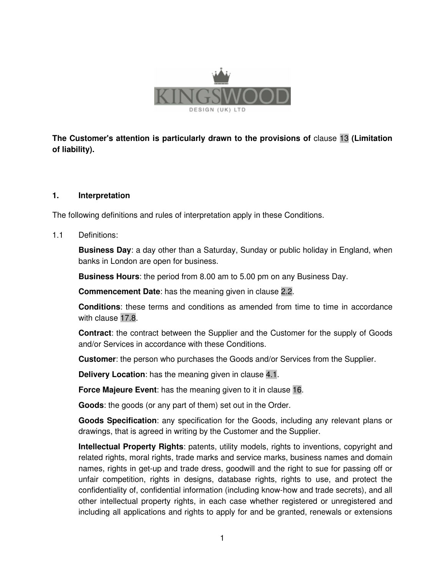

**The Customer's attention is particularly drawn to the provisions of** clause 13 **(Limitation of liability).** 

### **1. Interpretation**

The following definitions and rules of interpretation apply in these Conditions.

### 1.1 Definitions:

**Business Day**: a day other than a Saturday, Sunday or public holiday in England, when banks in London are open for business.

**Business Hours**: the period from 8.00 am to 5.00 pm on any Business Day.

**Commencement Date**: has the meaning given in clause 2.2.

 **Conditions**: these terms and conditions as amended from time to time in accordance with clause 17.8.

 **Contract**: the contract between the Supplier and the Customer for the supply of Goods and/or Services in accordance with these Conditions.

**Customer**: the person who purchases the Goods and/or Services from the Supplier.

 **Delivery Location**: has the meaning given in clause 4.1.

 **Force Majeure Event**: has the meaning given to it in clause 16.

 **Goods**: the goods (or any part of them) set out in the Order.

 **Goods Specification**: any specification for the Goods, including any relevant plans or drawings, that is agreed in writing by the Customer and the Supplier.

 **Intellectual Property Rights**: patents, utility models, rights to inventions, copyright and related rights, moral rights, trade marks and service marks, business names and domain names, rights in get-up and trade dress, goodwill and the right to sue for passing off or unfair competition, rights in designs, database rights, rights to use, and protect the confidentiality of, confidential information (including know-how and trade secrets), and all other intellectual property rights, in each case whether registered or unregistered and including all applications and rights to apply for and be granted, renewals or extensions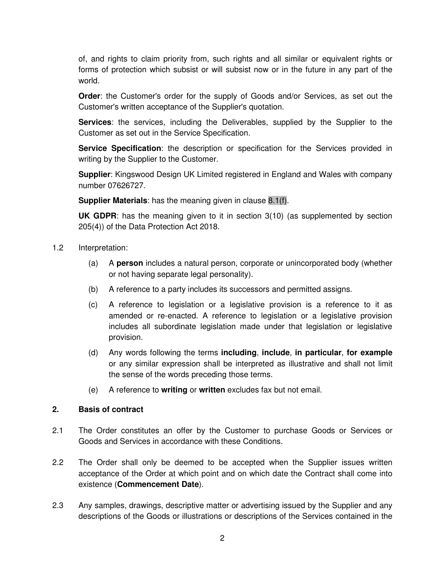of, and rights to claim priority from, such rights and all similar or equivalent rights or forms of protection which subsist or will subsist now or in the future in any part of the world.

 **Order**: the Customer's order for the supply of Goods and/or Services, as set out the Customer's written acceptance of the Supplier's quotation.

 **Services**: the services, including the Deliverables, supplied by the Supplier to the Customer as set out in the Service Specification.

**Service Specification**: the description or specification for the Services provided in writing by the Supplier to the Customer.

**Supplier**: Kingswood Design UK Limited registered in England and Wales with company number 07626727.

**Supplier Materials**: has the meaning given in clause 8.1(f).

**UK GDPR**: has the meaning given to it in section 3(10) (as supplemented by section 205(4)) of the Data Protection Act 2018.

- 1.2 Interpretation:
	- (a) A **person** includes a natural person, corporate or unincorporated body (whether or not having separate legal personality).
	- (b) A reference to a party includes its successors and permitted assigns.
	- (c) A reference to legislation or a legislative provision is a reference to it as amended or re-enacted. A reference to legislation or a legislative provision includes all subordinate legislation made under that legislation or legislative provision.
	- (d) Any words following the terms **including**, **include**, **in particular**, **for example** or any similar expression shall be interpreted as illustrative and shall not limit the sense of the words preceding those terms.
	- (e) A reference to **writing** or **written** excludes fax but not email.

#### **2. Basis of contract**

- 2.1 The Order constitutes an offer by the Customer to purchase Goods or Services or Goods and Services in accordance with these Conditions.
- 2.2 The Order shall only be deemed to be accepted when the Supplier issues written acceptance of the Order at which point and on which date the Contract shall come into existence (**Commencement Date**).
- 2.3 Any samples, drawings, descriptive matter or advertising issued by the Supplier and any descriptions of the Goods or illustrations or descriptions of the Services contained in the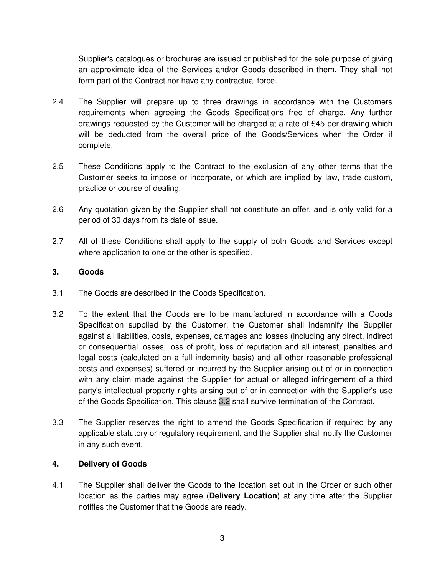Supplier's catalogues or brochures are issued or published for the sole purpose of giving an approximate idea of the Services and/or Goods described in them. They shall not form part of the Contract nor have any contractual force.

- 2.4 The Supplier will prepare up to three drawings in accordance with the Customers requirements when agreeing the Goods Specifications free of charge. Any further drawings requested by the Customer will be charged at a rate of £45 per drawing which will be deducted from the overall price of the Goods/Services when the Order if complete.
- 2.5 These Conditions apply to the Contract to the exclusion of any other terms that the Customer seeks to impose or incorporate, or which are implied by law, trade custom, practice or course of dealing.
- 2.6 Any quotation given by the Supplier shall not constitute an offer, and is only valid for a period of 30 days from its date of issue.
- 2.7 All of these Conditions shall apply to the supply of both Goods and Services except where application to one or the other is specified.

### **3. Goods**

- 3.1 The Goods are described in the Goods Specification.
- 3.2 To the extent that the Goods are to be manufactured in accordance with a Goods Specification supplied by the Customer, the Customer shall indemnify the Supplier against all liabilities, costs, expenses, damages and losses (including any direct, indirect or consequential losses, loss of profit, loss of reputation and all interest, penalties and legal costs (calculated on a full indemnity basis) and all other reasonable professional costs and expenses) suffered or incurred by the Supplier arising out of or in connection with any claim made against the Supplier for actual or alleged infringement of a third party's intellectual property rights arising out of or in connection with the Supplier's use of the Goods Specification. This clause 3.2 shall survive termination of the Contract.
- 3.3 The Supplier reserves the right to amend the Goods Specification if required by any applicable statutory or regulatory requirement, and the Supplier shall notify the Customer in any such event.

### **4. Delivery of Goods**

4.1 The Supplier shall deliver the Goods to the location set out in the Order or such other location as the parties may agree (**Delivery Location**) at any time after the Supplier notifies the Customer that the Goods are ready.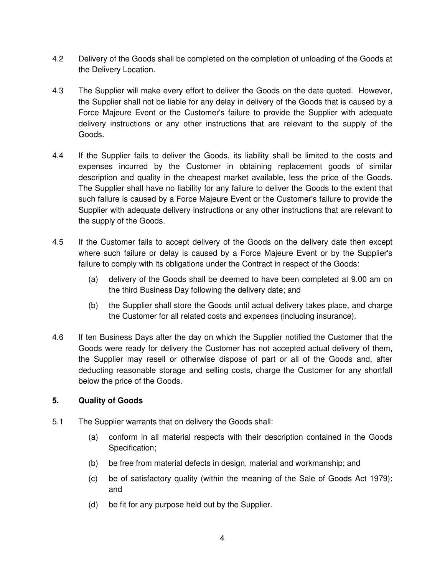- 4.2 Delivery of the Goods shall be completed on the completion of unloading of the Goods at the Delivery Location.
- 4.3 The Supplier will make every effort to deliver the Goods on the date quoted. However, the Supplier shall not be liable for any delay in delivery of the Goods that is caused by a Force Majeure Event or the Customer's failure to provide the Supplier with adequate delivery instructions or any other instructions that are relevant to the supply of the Goods.
- 4.4 If the Supplier fails to deliver the Goods, its liability shall be limited to the costs and expenses incurred by the Customer in obtaining replacement goods of similar description and quality in the cheapest market available, less the price of the Goods. The Supplier shall have no liability for any failure to deliver the Goods to the extent that such failure is caused by a Force Majeure Event or the Customer's failure to provide the Supplier with adequate delivery instructions or any other instructions that are relevant to the supply of the Goods.
- 4.5 If the Customer fails to accept delivery of the Goods on the delivery date then except where such failure or delay is caused by a Force Majeure Event or by the Supplier's failure to comply with its obligations under the Contract in respect of the Goods:
	- (a) delivery of the Goods shall be deemed to have been completed at 9.00 am on the third Business Day following the delivery date; and
	- (b) the Supplier shall store the Goods until actual delivery takes place, and charge the Customer for all related costs and expenses (including insurance).
- 4.6 If ten Business Days after the day on which the Supplier notified the Customer that the Goods were ready for delivery the Customer has not accepted actual delivery of them, the Supplier may resell or otherwise dispose of part or all of the Goods and, after deducting reasonable storage and selling costs, charge the Customer for any shortfall below the price of the Goods.

# **5. Quality of Goods**

- 5.1 The Supplier warrants that on delivery the Goods shall:
	- (a) conform in all material respects with their description contained in the Goods Specification;
	- (b) be free from material defects in design, material and workmanship; and
	- (c) be of satisfactory quality (within the meaning of the Sale of Goods Act 1979); and
	- (d) be fit for any purpose held out by the Supplier.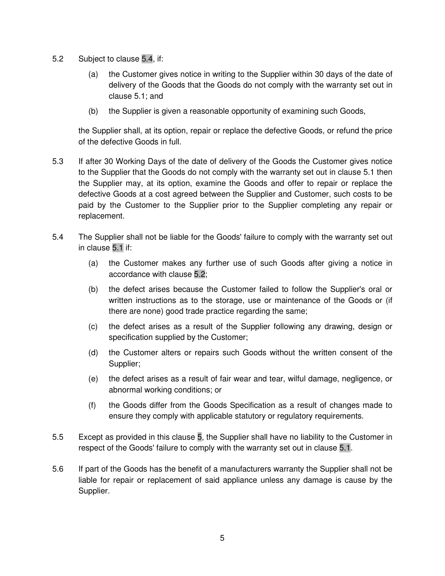- 5.2 Subject to clause 5.4, if:
	- (a) the Customer gives notice in writing to the Supplier within 30 days of the date of delivery of the Goods that the Goods do not comply with the warranty set out in clause 5.1; and
	- (b) the Supplier is given a reasonable opportunity of examining such Goods,

the Supplier shall, at its option, repair or replace the defective Goods, or refund the price of the defective Goods in full.

- 5.3 If after 30 Working Days of the date of delivery of the Goods the Customer gives notice to the Supplier that the Goods do not comply with the warranty set out in clause 5.1 then the Supplier may, at its option, examine the Goods and offer to repair or replace the defective Goods at a cost agreed between the Supplier and Customer, such costs to be paid by the Customer to the Supplier prior to the Supplier completing any repair or replacement.
- 5.4 The Supplier shall not be liable for the Goods' failure to comply with the warranty set out in clause 5.1 if:
	- (a) the Customer makes any further use of such Goods after giving a notice in accordance with clause 5.2;
	- (b) the defect arises because the Customer failed to follow the Supplier's oral or written instructions as to the storage, use or maintenance of the Goods or (if there are none) good trade practice regarding the same;
	- (c) the defect arises as a result of the Supplier following any drawing, design or specification supplied by the Customer;
	- (d) the Customer alters or repairs such Goods without the written consent of the Supplier;
	- (e) the defect arises as a result of fair wear and tear, wilful damage, negligence, or abnormal working conditions; or
	- (f) the Goods differ from the Goods Specification as a result of changes made to ensure they comply with applicable statutory or regulatory requirements.
- 5.5 Except as provided in this clause 5, the Supplier shall have no liability to the Customer in respect of the Goods' failure to comply with the warranty set out in clause 5.1.
- 5.6 If part of the Goods has the benefit of a manufacturers warranty the Supplier shall not be liable for repair or replacement of said appliance unless any damage is cause by the Supplier.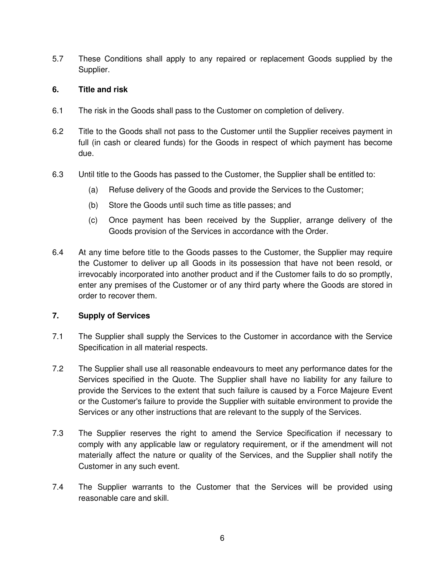5.7 These Conditions shall apply to any repaired or replacement Goods supplied by the Supplier.

#### **6. Title and risk**

- 6.1 The risk in the Goods shall pass to the Customer on completion of delivery.
- 6.2 Title to the Goods shall not pass to the Customer until the Supplier receives payment in full (in cash or cleared funds) for the Goods in respect of which payment has become due.
- 6.3 Until title to the Goods has passed to the Customer, the Supplier shall be entitled to:
	- (a) Refuse delivery of the Goods and provide the Services to the Customer;
	- (b) Store the Goods until such time as title passes; and
	- (c) Once payment has been received by the Supplier, arrange delivery of the Goods provision of the Services in accordance with the Order.
- 6.4 At any time before title to the Goods passes to the Customer, the Supplier may require the Customer to deliver up all Goods in its possession that have not been resold, or irrevocably incorporated into another product and if the Customer fails to do so promptly, enter any premises of the Customer or of any third party where the Goods are stored in order to recover them.

#### **7. Supply of Services**

- 7.1 The Supplier shall supply the Services to the Customer in accordance with the Service Specification in all material respects.
- 7.2 The Supplier shall use all reasonable endeavours to meet any performance dates for the Services specified in the Quote. The Supplier shall have no liability for any failure to provide the Services to the extent that such failure is caused by a Force Majeure Event or the Customer's failure to provide the Supplier with suitable environment to provide the Services or any other instructions that are relevant to the supply of the Services.
- 7.3 The Supplier reserves the right to amend the Service Specification if necessary to comply with any applicable law or regulatory requirement, or if the amendment will not materially affect the nature or quality of the Services, and the Supplier shall notify the Customer in any such event.
- 7.4 The Supplier warrants to the Customer that the Services will be provided using reasonable care and skill.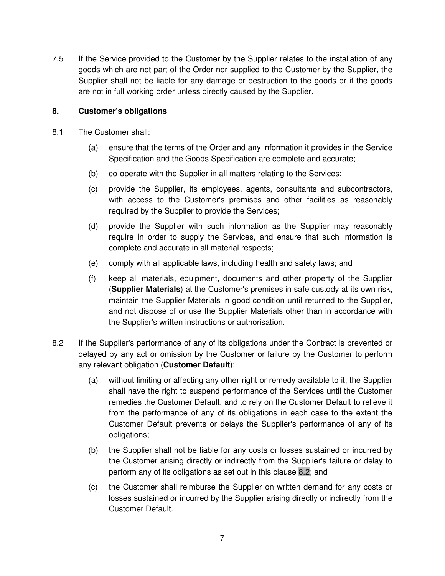7.5 If the Service provided to the Customer by the Supplier relates to the installation of any goods which are not part of the Order nor supplied to the Customer by the Supplier, the Supplier shall not be liable for any damage or destruction to the goods or if the goods are not in full working order unless directly caused by the Supplier.

### **8. Customer's obligations**

- 8.1 The Customer shall:
	- (a) ensure that the terms of the Order and any information it provides in the Service Specification and the Goods Specification are complete and accurate;
	- (b) co-operate with the Supplier in all matters relating to the Services;
	- (c) provide the Supplier, its employees, agents, consultants and subcontractors, with access to the Customer's premises and other facilities as reasonably required by the Supplier to provide the Services;
	- (d) provide the Supplier with such information as the Supplier may reasonably require in order to supply the Services, and ensure that such information is complete and accurate in all material respects;
	- (e) comply with all applicable laws, including health and safety laws; and
	- (f) keep all materials, equipment, documents and other property of the Supplier (**Supplier Materials**) at the Customer's premises in safe custody at its own risk, maintain the Supplier Materials in good condition until returned to the Supplier, and not dispose of or use the Supplier Materials other than in accordance with the Supplier's written instructions or authorisation.
- 8.2 If the Supplier's performance of any of its obligations under the Contract is prevented or delayed by any act or omission by the Customer or failure by the Customer to perform any relevant obligation (**Customer Default**):
	- (a) without limiting or affecting any other right or remedy available to it, the Supplier shall have the right to suspend performance of the Services until the Customer remedies the Customer Default, and to rely on the Customer Default to relieve it from the performance of any of its obligations in each case to the extent the Customer Default prevents or delays the Supplier's performance of any of its obligations;
	- (b) the Supplier shall not be liable for any costs or losses sustained or incurred by the Customer arising directly or indirectly from the Supplier's failure or delay to perform any of its obligations as set out in this clause 8.2; and
	- (c) the Customer shall reimburse the Supplier on written demand for any costs or losses sustained or incurred by the Supplier arising directly or indirectly from the Customer Default.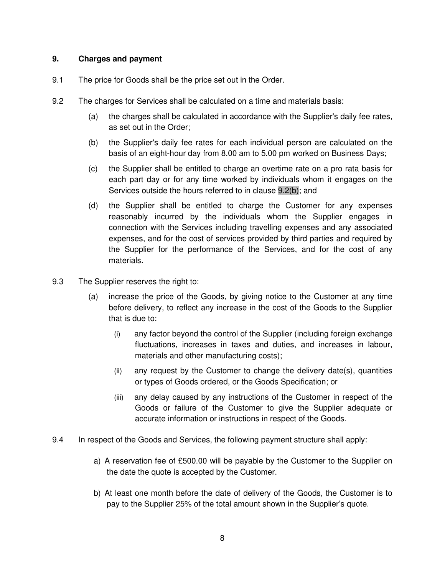#### **9. Charges and payment**

- 9.1 The price for Goods shall be the price set out in the Order.
- 9.2 The charges for Services shall be calculated on a time and materials basis:
	- (a) the charges shall be calculated in accordance with the Supplier's daily fee rates, as set out in the Order;
	- (b) the Supplier's daily fee rates for each individual person are calculated on the basis of an eight-hour day from 8.00 am to 5.00 pm worked on Business Days;
	- (c) the Supplier shall be entitled to charge an overtime rate on a pro rata basis for each part day or for any time worked by individuals whom it engages on the Services outside the hours referred to in clause 9.2(b); and
	- (d) the Supplier shall be entitled to charge the Customer for any expenses reasonably incurred by the individuals whom the Supplier engages in connection with the Services including travelling expenses and any associated expenses, and for the cost of services provided by third parties and required by the Supplier for the performance of the Services, and for the cost of any materials.
- 9.3 The Supplier reserves the right to:
	- (a) increase the price of the Goods, by giving notice to the Customer at any time before delivery, to reflect any increase in the cost of the Goods to the Supplier that is due to:
		- (i) any factor beyond the control of the Supplier (including foreign exchange fluctuations, increases in taxes and duties, and increases in labour, materials and other manufacturing costs);
		- (ii) any request by the Customer to change the delivery date(s), quantities or types of Goods ordered, or the Goods Specification; or
		- (iii) any delay caused by any instructions of the Customer in respect of the Goods or failure of the Customer to give the Supplier adequate or accurate information or instructions in respect of the Goods.
- 9.4 In respect of the Goods and Services, the following payment structure shall apply:
	- a) A reservation fee of £500.00 will be payable by the Customer to the Supplier on the date the quote is accepted by the Customer.
	- b) At least one month before the date of delivery of the Goods, the Customer is to pay to the Supplier 25% of the total amount shown in the Supplier's quote.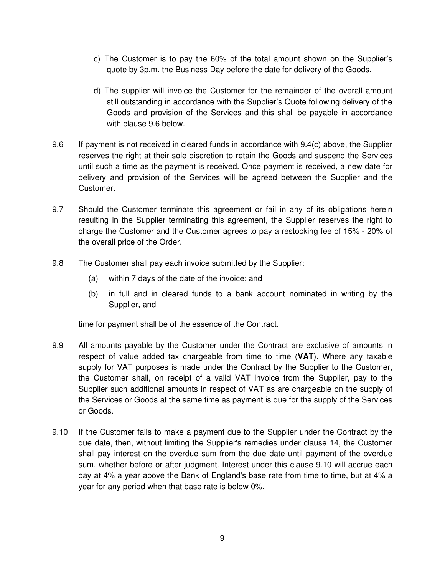- c) The Customer is to pay the 60% of the total amount shown on the Supplier's quote by 3p.m. the Business Day before the date for delivery of the Goods.
- d) The supplier will invoice the Customer for the remainder of the overall amount still outstanding in accordance with the Supplier's Quote following delivery of the Goods and provision of the Services and this shall be payable in accordance with clause 9.6 below.
- 9.6 If payment is not received in cleared funds in accordance with 9.4(c) above, the Supplier reserves the right at their sole discretion to retain the Goods and suspend the Services until such a time as the payment is received. Once payment is received, a new date for delivery and provision of the Services will be agreed between the Supplier and the Customer.
- 9.7 Should the Customer terminate this agreement or fail in any of its obligations herein resulting in the Supplier terminating this agreement, the Supplier reserves the right to charge the Customer and the Customer agrees to pay a restocking fee of 15% - 20% of the overall price of the Order.
- 9.8 The Customer shall pay each invoice submitted by the Supplier:
	- (a) within 7 days of the date of the invoice; and
	- (b) in full and in cleared funds to a bank account nominated in writing by the Supplier, and

time for payment shall be of the essence of the Contract.

- 9.9 All amounts payable by the Customer under the Contract are exclusive of amounts in respect of value added tax chargeable from time to time (**VAT**). Where any taxable supply for VAT purposes is made under the Contract by the Supplier to the Customer, the Customer shall, on receipt of a valid VAT invoice from the Supplier, pay to the Supplier such additional amounts in respect of VAT as are chargeable on the supply of the Services or Goods at the same time as payment is due for the supply of the Services or Goods.
- 9.10 If the Customer fails to make a payment due to the Supplier under the Contract by the due date, then, without limiting the Supplier's remedies under clause 14, the Customer shall pay interest on the overdue sum from the due date until payment of the overdue sum, whether before or after judgment. Interest under this clause 9.10 will accrue each day at 4% a year above the Bank of England's base rate from time to time, but at 4% a year for any period when that base rate is below 0%.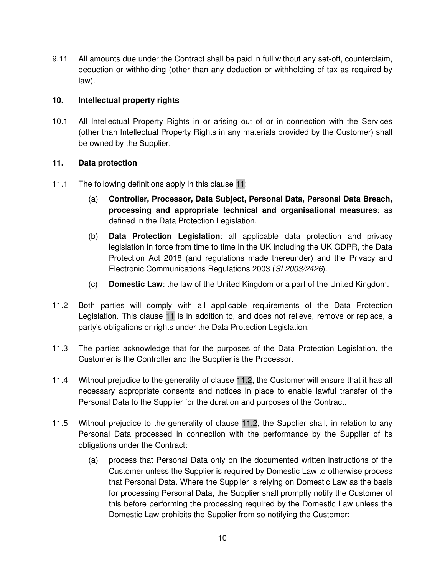9.11 All amounts due under the Contract shall be paid in full without any set-off, counterclaim, deduction or withholding (other than any deduction or withholding of tax as required by law).

### **10. Intellectual property rights**

10.1 All Intellectual Property Rights in or arising out of or in connection with the Services (other than Intellectual Property Rights in any materials provided by the Customer) shall be owned by the Supplier.

#### **11. Data protection**

- 11.1 The following definitions apply in this clause 11:
	- (a) **Controller, Processor, Data Subject, Personal Data, Personal Data Breach, processing and appropriate technical and organisational measures**: as defined in the Data Protection Legislation.
	- (b) **Data Protection Legislation**: all applicable data protection and privacy legislation in force from time to time in the UK including the UK GDPR, the Data Protection Act 2018 (and regulations made thereunder) and the Privacy and Electronic Communications Regulations 2003 (SI 2003/2426).
	- (c) **Domestic Law**: the law of the United Kingdom or a part of the United Kingdom.
- 11.2 Both parties will comply with all applicable requirements of the Data Protection Legislation. This clause 11 is in addition to, and does not relieve, remove or replace, a party's obligations or rights under the Data Protection Legislation.
- 11.3 The parties acknowledge that for the purposes of the Data Protection Legislation, the Customer is the Controller and the Supplier is the Processor.
- 11.4 Without prejudice to the generality of clause 11.2, the Customer will ensure that it has all necessary appropriate consents and notices in place to enable lawful transfer of the Personal Data to the Supplier for the duration and purposes of the Contract.
- 11.5 Without prejudice to the generality of clause 11.2, the Supplier shall, in relation to any Personal Data processed in connection with the performance by the Supplier of its obligations under the Contract:
	- (a) process that Personal Data only on the documented written instructions of the Customer unless the Supplier is required by Domestic Law to otherwise process that Personal Data. Where the Supplier is relying on Domestic Law as the basis for processing Personal Data, the Supplier shall promptly notify the Customer of this before performing the processing required by the Domestic Law unless the Domestic Law prohibits the Supplier from so notifying the Customer;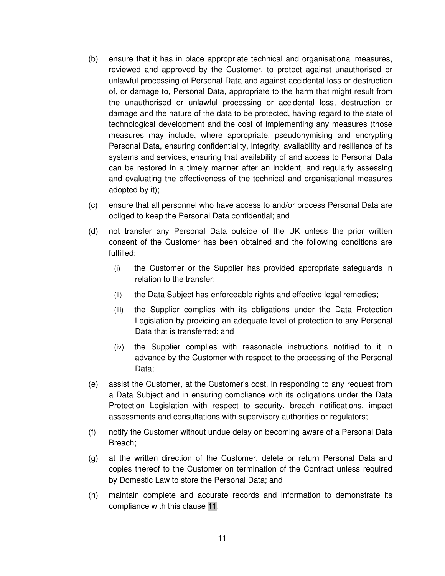- (b) ensure that it has in place appropriate technical and organisational measures, reviewed and approved by the Customer, to protect against unauthorised or unlawful processing of Personal Data and against accidental loss or destruction of, or damage to, Personal Data, appropriate to the harm that might result from the unauthorised or unlawful processing or accidental loss, destruction or damage and the nature of the data to be protected, having regard to the state of technological development and the cost of implementing any measures (those measures may include, where appropriate, pseudonymising and encrypting Personal Data, ensuring confidentiality, integrity, availability and resilience of its systems and services, ensuring that availability of and access to Personal Data can be restored in a timely manner after an incident, and regularly assessing and evaluating the effectiveness of the technical and organisational measures adopted by it);
- (c) ensure that all personnel who have access to and/or process Personal Data are obliged to keep the Personal Data confidential; and
- (d) not transfer any Personal Data outside of the UK unless the prior written consent of the Customer has been obtained and the following conditions are fulfilled:
	- (i) the Customer or the Supplier has provided appropriate safeguards in relation to the transfer;
	- (ii) the Data Subject has enforceable rights and effective legal remedies;
	- (iii) the Supplier complies with its obligations under the Data Protection Legislation by providing an adequate level of protection to any Personal Data that is transferred; and
	- (iv) the Supplier complies with reasonable instructions notified to it in advance by the Customer with respect to the processing of the Personal Data;
- (e) assist the Customer, at the Customer's cost, in responding to any request from a Data Subject and in ensuring compliance with its obligations under the Data Protection Legislation with respect to security, breach notifications, impact assessments and consultations with supervisory authorities or regulators;
- (f) notify the Customer without undue delay on becoming aware of a Personal Data Breach;
- (g) at the written direction of the Customer, delete or return Personal Data and copies thereof to the Customer on termination of the Contract unless required by Domestic Law to store the Personal Data; and
- (h) maintain complete and accurate records and information to demonstrate its compliance with this clause 11.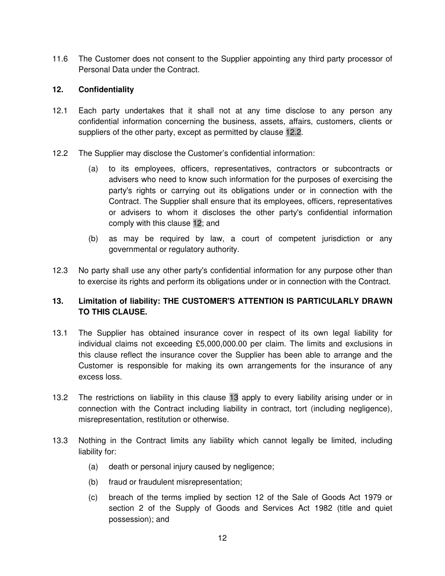11.6 The Customer does not consent to the Supplier appointing any third party processor of Personal Data under the Contract.

#### **12. Confidentiality**

- 12.1 Each party undertakes that it shall not at any time disclose to any person any confidential information concerning the business, assets, affairs, customers, clients or suppliers of the other party, except as permitted by clause 12.2.
- 12.2 The Supplier may disclose the Customer's confidential information:
	- (a) to its employees, officers, representatives, contractors or subcontracts or advisers who need to know such information for the purposes of exercising the party's rights or carrying out its obligations under or in connection with the Contract. The Supplier shall ensure that its employees, officers, representatives or advisers to whom it discloses the other party's confidential information comply with this clause 12; and
	- (b) as may be required by law, a court of competent jurisdiction or any governmental or regulatory authority.
- 12.3 No party shall use any other party's confidential information for any purpose other than to exercise its rights and perform its obligations under or in connection with the Contract.

# **13. Limitation of liability: THE CUSTOMER'S ATTENTION IS PARTICULARLY DRAWN TO THIS CLAUSE.**

- 13.1 The Supplier has obtained insurance cover in respect of its own legal liability for individual claims not exceeding £5,000,000.00 per claim. The limits and exclusions in this clause reflect the insurance cover the Supplier has been able to arrange and the Customer is responsible for making its own arrangements for the insurance of any excess loss.
- 13.2 The restrictions on liability in this clause 13 apply to every liability arising under or in connection with the Contract including liability in contract, tort (including negligence), misrepresentation, restitution or otherwise.
- 13.3 Nothing in the Contract limits any liability which cannot legally be limited, including liability for:
	- (a) death or personal injury caused by negligence;
	- (b) fraud or fraudulent misrepresentation;
	- (c) breach of the terms implied by section 12 of the Sale of Goods Act 1979 or section 2 of the Supply of Goods and Services Act 1982 (title and quiet possession); and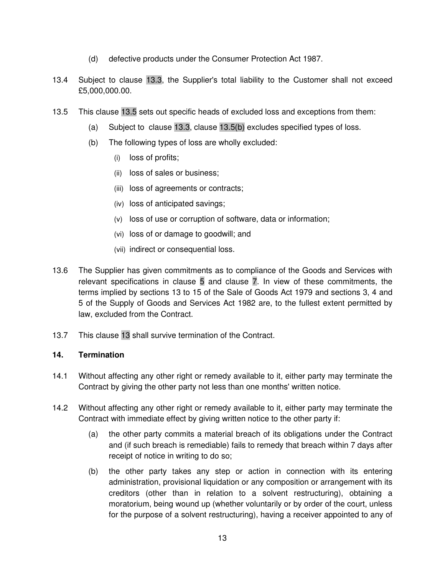- (d) defective products under the Consumer Protection Act 1987.
- 13.4 Subject to clause 13.3, the Supplier's total liability to the Customer shall not exceed £5,000,000.00.
- 13.5 This clause 13.5 sets out specific heads of excluded loss and exceptions from them:
	- (a) Subject to clause 13.3, clause 13.5(b) excludes specified types of loss.
	- (b) The following types of loss are wholly excluded:
		- (i) loss of profits;
		- (ii) loss of sales or business;
		- (iii) loss of agreements or contracts;
		- (iv) loss of anticipated savings;
		- (v) loss of use or corruption of software, data or information;
		- (vi) loss of or damage to goodwill; and
		- (vii) indirect or consequential loss.
- 13.6 The Supplier has given commitments as to compliance of the Goods and Services with relevant specifications in clause 5 and clause 7. In view of these commitments, the terms implied by sections 13 to 15 of the Sale of Goods Act 1979 and sections 3, 4 and 5 of the Supply of Goods and Services Act 1982 are, to the fullest extent permitted by law, excluded from the Contract.
- 13.7 This clause 13 shall survive termination of the Contract.

#### **14. Termination**

- 14.1 Without affecting any other right or remedy available to it, either party may terminate the Contract by giving the other party not less than one months' written notice.
- 14.2 Without affecting any other right or remedy available to it, either party may terminate the Contract with immediate effect by giving written notice to the other party if:
	- (a) the other party commits a material breach of its obligations under the Contract and (if such breach is remediable) fails to remedy that breach within 7 days after receipt of notice in writing to do so;
	- (b) the other party takes any step or action in connection with its entering administration, provisional liquidation or any composition or arrangement with its creditors (other than in relation to a solvent restructuring), obtaining a moratorium, being wound up (whether voluntarily or by order of the court, unless for the purpose of a solvent restructuring), having a receiver appointed to any of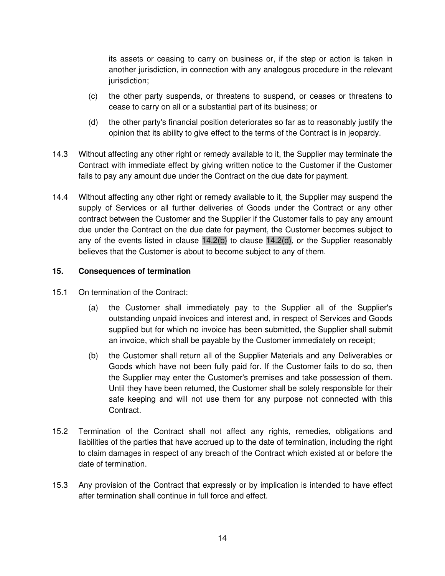its assets or ceasing to carry on business or, if the step or action is taken in another jurisdiction, in connection with any analogous procedure in the relevant jurisdiction:

- (c) the other party suspends, or threatens to suspend, or ceases or threatens to cease to carry on all or a substantial part of its business; or
- (d) the other party's financial position deteriorates so far as to reasonably justify the opinion that its ability to give effect to the terms of the Contract is in jeopardy.
- 14.3 Without affecting any other right or remedy available to it, the Supplier may terminate the Contract with immediate effect by giving written notice to the Customer if the Customer fails to pay any amount due under the Contract on the due date for payment.
- 14.4 Without affecting any other right or remedy available to it, the Supplier may suspend the supply of Services or all further deliveries of Goods under the Contract or any other contract between the Customer and the Supplier if the Customer fails to pay any amount due under the Contract on the due date for payment, the Customer becomes subject to any of the events listed in clause  $14.2(b)$  to clause  $14.2(d)$ , or the Supplier reasonably believes that the Customer is about to become subject to any of them.

### **15. Consequences of termination**

- 15.1 On termination of the Contract:
	- (a) the Customer shall immediately pay to the Supplier all of the Supplier's outstanding unpaid invoices and interest and, in respect of Services and Goods supplied but for which no invoice has been submitted, the Supplier shall submit an invoice, which shall be payable by the Customer immediately on receipt;
	- (b) the Customer shall return all of the Supplier Materials and any Deliverables or Goods which have not been fully paid for. If the Customer fails to do so, then the Supplier may enter the Customer's premises and take possession of them. Until they have been returned, the Customer shall be solely responsible for their safe keeping and will not use them for any purpose not connected with this Contract.
- 15.2 Termination of the Contract shall not affect any rights, remedies, obligations and liabilities of the parties that have accrued up to the date of termination, including the right to claim damages in respect of any breach of the Contract which existed at or before the date of termination.
- 15.3 Any provision of the Contract that expressly or by implication is intended to have effect after termination shall continue in full force and effect.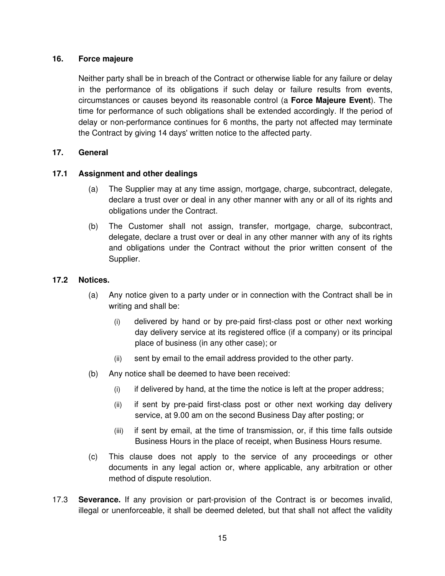### **16. Force majeure**

Neither party shall be in breach of the Contract or otherwise liable for any failure or delay in the performance of its obligations if such delay or failure results from events, circumstances or causes beyond its reasonable control (a **Force Majeure Event**). The time for performance of such obligations shall be extended accordingly. If the period of delay or non-performance continues for 6 months, the party not affected may terminate the Contract by giving 14 days' written notice to the affected party.

#### **17. General**

### **17.1 Assignment and other dealings**

- (a) The Supplier may at any time assign, mortgage, charge, subcontract, delegate, declare a trust over or deal in any other manner with any or all of its rights and obligations under the Contract.
- (b) The Customer shall not assign, transfer, mortgage, charge, subcontract, delegate, declare a trust over or deal in any other manner with any of its rights and obligations under the Contract without the prior written consent of the Supplier.

#### **17.2 Notices.**

- (a) Any notice given to a party under or in connection with the Contract shall be in writing and shall be:
	- (i) delivered by hand or by pre-paid first-class post or other next working day delivery service at its registered office (if a company) or its principal place of business (in any other case); or
	- (ii) sent by email to the email address provided to the other party.
- (b) Any notice shall be deemed to have been received:
	- (i) if delivered by hand, at the time the notice is left at the proper address;
	- (ii) if sent by pre-paid first-class post or other next working day delivery service, at 9.00 am on the second Business Day after posting; or
	- (iii) if sent by email, at the time of transmission, or, if this time falls outside Business Hours in the place of receipt, when Business Hours resume.
- (c) This clause does not apply to the service of any proceedings or other documents in any legal action or, where applicable, any arbitration or other method of dispute resolution.
- 17.3 **Severance.** If any provision or part-provision of the Contract is or becomes invalid, illegal or unenforceable, it shall be deemed deleted, but that shall not affect the validity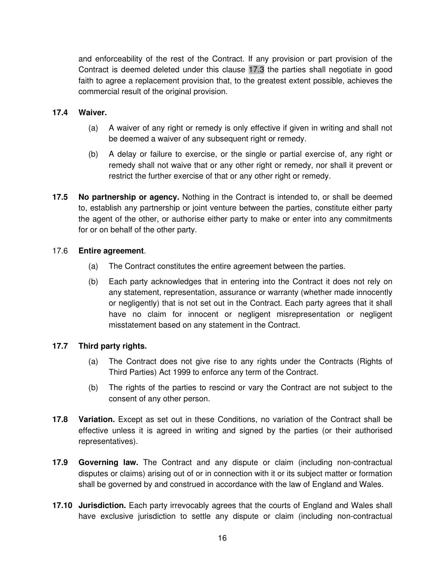and enforceability of the rest of the Contract. If any provision or part provision of the Contract is deemed deleted under this clause 17.3 the parties shall negotiate in good faith to agree a replacement provision that, to the greatest extent possible, achieves the commercial result of the original provision.

#### **17.4 Waiver.**

- (a) A waiver of any right or remedy is only effective if given in writing and shall not be deemed a waiver of any subsequent right or remedy.
- (b) A delay or failure to exercise, or the single or partial exercise of, any right or remedy shall not waive that or any other right or remedy, nor shall it prevent or restrict the further exercise of that or any other right or remedy.
- **17.5 No partnership or agency.** Nothing in the Contract is intended to, or shall be deemed to, establish any partnership or joint venture between the parties, constitute either party the agent of the other, or authorise either party to make or enter into any commitments for or on behalf of the other party.

### 17.6 **Entire agreement**.

- (a) The Contract constitutes the entire agreement between the parties.
- (b) Each party acknowledges that in entering into the Contract it does not rely on any statement, representation, assurance or warranty (whether made innocently or negligently) that is not set out in the Contract. Each party agrees that it shall have no claim for innocent or negligent misrepresentation or negligent misstatement based on any statement in the Contract.

# **17.7 Third party rights.**

- (a) The Contract does not give rise to any rights under the Contracts (Rights of Third Parties) Act 1999 to enforce any term of the Contract.
- (b) The rights of the parties to rescind or vary the Contract are not subject to the consent of any other person.
- **17.8 Variation.** Except as set out in these Conditions, no variation of the Contract shall be effective unless it is agreed in writing and signed by the parties (or their authorised representatives).
- **17.9 Governing law.** The Contract and any dispute or claim (including non-contractual disputes or claims) arising out of or in connection with it or its subject matter or formation shall be governed by and construed in accordance with the law of England and Wales.
- **17.10 Jurisdiction.** Each party irrevocably agrees that the courts of England and Wales shall have exclusive jurisdiction to settle any dispute or claim (including non-contractual